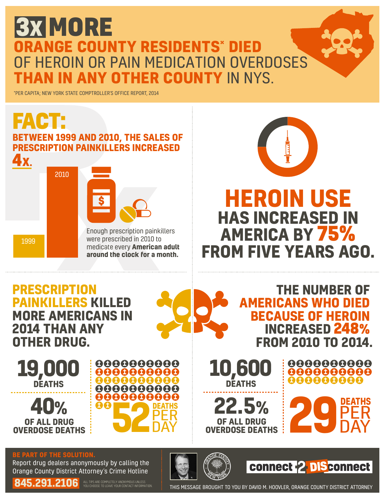## **3X MORE ORANGE COUNTY RESIDENTS**\* **DIED F HEROIN OR PAIN MEDICATION OVERDOSES OTHER COUNTY IN NYS.**

\*PER CAPITA; NEW YORK STATE COMPTROLLER'S OFFICE REPORT, 2014



**DEATHS PER DAY** 

0000000000

8888888888

888888888 00000000

**19,000 DEATHS 40% OF ALL DRUG<br>OVERDOSE DEATHS OF ALL DRUG CONTROLL ON STATE** 

**OTHER DRUG.**

**BE PART OF THE SOLUTION.**

Report drug dealers anonymously by calling the Orange County District Attorney's Crime Hotline

**845.291.2106** ALL TIPS ARE COMPLETELY ANONYMOUS UNLESS

**10,60** 

**DEATHS**

**OF ALL DRUG<br>
OVERDOSE DEATHS** 

**22.5%**



**PER OVERDOSE DEATHS**<br> **22.5%**<br> **29 DER**<br> **29 DER** 

**FROM 2010 TO 2014.**

0000000000 0000000000

888888888

**PER** 

**DAY** 

THIS MESSAGE BROUGHT TO YOU BY DAVID M. HOOVLER, ORANGE COUNTY DISTRICT ATTORNEY